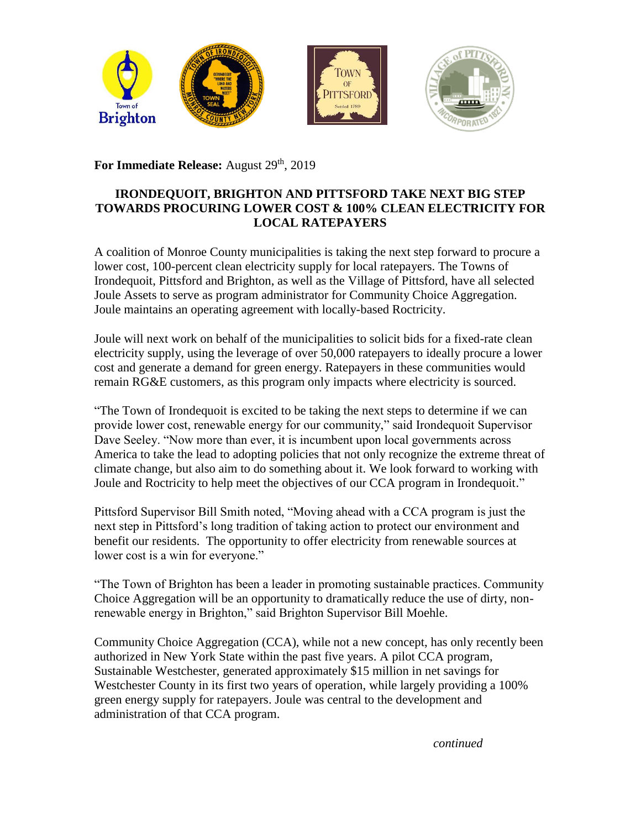

For Immediate Release: August 29<sup>th</sup>, 2019

## **IRONDEQUOIT, BRIGHTON AND PITTSFORD TAKE NEXT BIG STEP TOWARDS PROCURING LOWER COST & 100% CLEAN ELECTRICITY FOR LOCAL RATEPAYERS**

A coalition of Monroe County municipalities is taking the next step forward to procure a lower cost, 100-percent clean electricity supply for local ratepayers. The Towns of Irondequoit, Pittsford and Brighton, as well as the Village of Pittsford, have all selected Joule Assets to serve as program administrator for Community Choice Aggregation. Joule maintains an operating agreement with locally-based Roctricity.

Joule will next work on behalf of the municipalities to solicit bids for a fixed-rate clean electricity supply, using the leverage of over 50,000 ratepayers to ideally procure a lower cost and generate a demand for green energy. Ratepayers in these communities would remain RG&E customers, as this program only impacts where electricity is sourced.

"The Town of Irondequoit is excited to be taking the next steps to determine if we can provide lower cost, renewable energy for our community," said Irondequoit Supervisor Dave Seeley. "Now more than ever, it is incumbent upon local governments across America to take the lead to adopting policies that not only recognize the extreme threat of climate change, but also aim to do something about it. We look forward to working with Joule and Roctricity to help meet the objectives of our CCA program in Irondequoit."

Pittsford Supervisor Bill Smith noted, "Moving ahead with a CCA program is just the next step in Pittsford's long tradition of taking action to protect our environment and benefit our residents. The opportunity to offer electricity from renewable sources at lower cost is a win for everyone."

"The Town of Brighton has been a leader in promoting sustainable practices. Community Choice Aggregation will be an opportunity to dramatically reduce the use of dirty, nonrenewable energy in Brighton," said Brighton Supervisor Bill Moehle.

Community Choice Aggregation (CCA), while not a new concept, has only recently been authorized in New York State within the past five years. A pilot CCA program, Sustainable Westchester, generated approximately \$15 million in net savings for Westchester County in its first two years of operation, while largely providing a 100% green energy supply for ratepayers. Joule was central to the development and administration of that CCA program.

*continued*